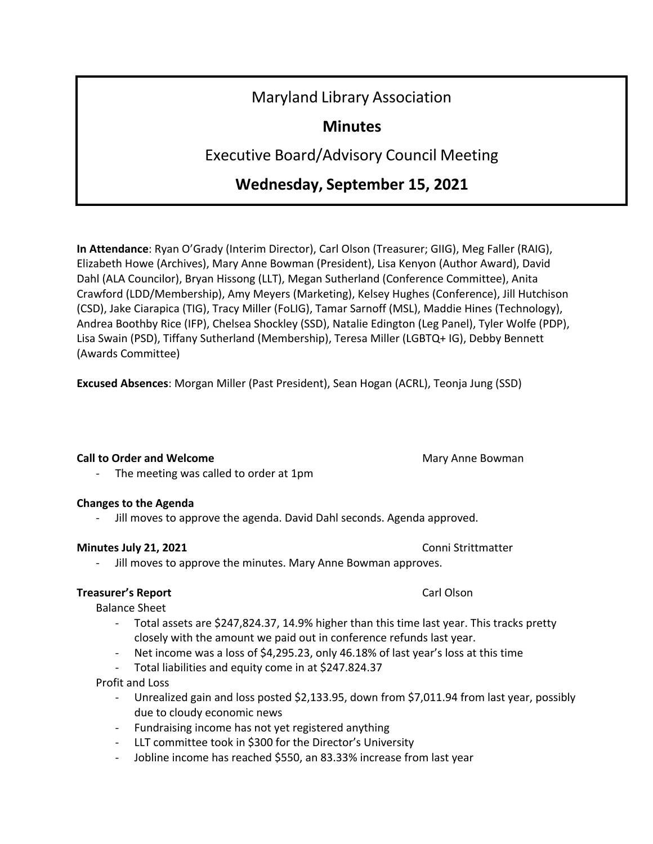# Maryland Library Association

# **Minutes**

Executive Board/Advisory Council Meeting

# **Wednesday, September 15, 2021**

**In Attendance**: Ryan O'Grady (Interim Director), Carl Olson (Treasurer; GIIG), Meg Faller (RAIG), Elizabeth Howe (Archives), Mary Anne Bowman (President), Lisa Kenyon (Author Award), David Dahl (ALA Councilor), Bryan Hissong (LLT), Megan Sutherland (Conference Committee), Anita Crawford (LDD/Membership), Amy Meyers (Marketing), Kelsey Hughes (Conference), Jill Hutchison (CSD), Jake Ciarapica (TIG), Tracy Miller (FoLIG), Tamar Sarnoff (MSL), Maddie Hines (Technology), Andrea Boothby Rice (IFP), Chelsea Shockley (SSD), Natalie Edington (Leg Panel), Tyler Wolfe (PDP), Lisa Swain (PSD), Tiffany Sutherland (Membership), Teresa Miller (LGBTQ+ IG), Debby Bennett (Awards Committee)

**Excused Absences**: Morgan Miller (Past President), Sean Hogan (ACRL), Teonja Jung (SSD)

### **Call to Order and Welcome** Mary Anne Bowman Mary Anne Bowman

The meeting was called to order at 1pm

# **Changes to the Agenda**

- Jill moves to approve the agenda. David Dahl seconds. Agenda approved.

# **Minutes July 21, 2021 Connicts Connicts Connicts Connicts Connicts Connicts**

Jill moves to approve the minutes. Mary Anne Bowman approves.

# **Treasurer's Report** Carl Olson

Balance Sheet

- Total assets are \$247,824.37, 14.9% higher than this time last year. This tracks pretty closely with the amount we paid out in conference refunds last year.
- Net income was a loss of \$4,295.23, only 46.18% of last year's loss at this time
- Total liabilities and equity come in at \$247.824.37

Profit and Loss

- Unrealized gain and loss posted \$2,133.95, down from \$7,011.94 from last year, possibly due to cloudy economic news
- Fundraising income has not yet registered anything
- LLT committee took in \$300 for the Director's University
- Jobline income has reached \$550, an 83.33% increase from last year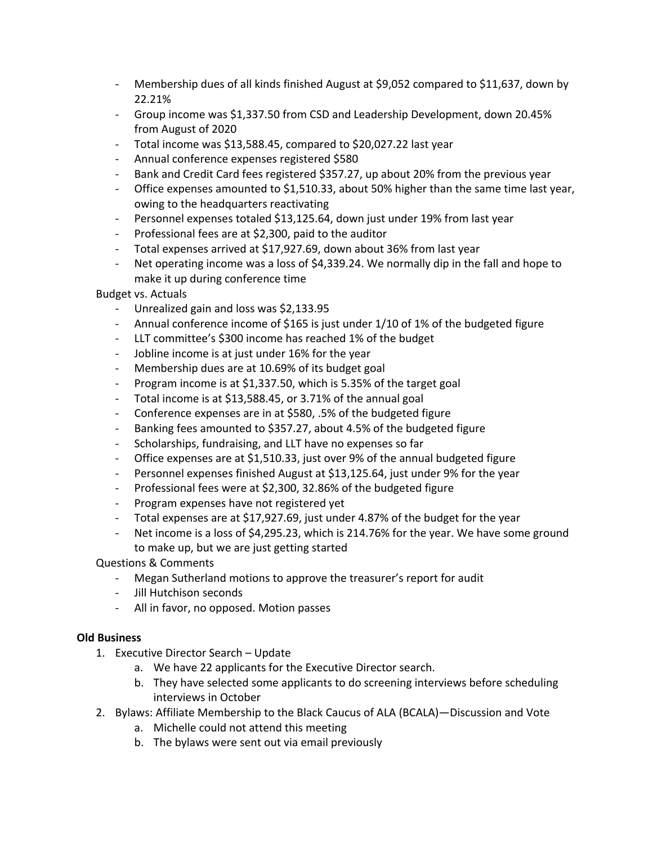- Membership dues of all kinds finished August at \$9,052 compared to \$11,637, down by 22.21%
- Group income was \$1,337.50 from CSD and Leadership Development, down 20.45% from August of 2020
- Total income was \$13,588.45, compared to \$20,027.22 last year
- Annual conference expenses registered \$580
- Bank and Credit Card fees registered \$357.27, up about 20% from the previous year
- Office expenses amounted to \$1,510.33, about 50% higher than the same time last year, owing to the headquarters reactivating
- Personnel expenses totaled \$13,125.64, down just under 19% from last year
- Professional fees are at \$2,300, paid to the auditor
- Total expenses arrived at \$17,927.69, down about 36% from last year
- Net operating income was a loss of \$4,339.24. We normally dip in the fall and hope to make it up during conference time

Budget vs. Actuals

- Unrealized gain and loss was \$2,133.95
- Annual conference income of \$165 is just under 1/10 of 1% of the budgeted figure
- LLT committee's \$300 income has reached 1% of the budget
- Jobline income is at just under 16% for the year
- Membership dues are at 10.69% of its budget goal
- Program income is at \$1,337.50, which is 5.35% of the target goal
- Total income is at \$13,588.45, or 3.71% of the annual goal
- Conference expenses are in at \$580, .5% of the budgeted figure
- Banking fees amounted to \$357.27, about 4.5% of the budgeted figure
- Scholarships, fundraising, and LLT have no expenses so far
- Office expenses are at \$1,510.33, just over 9% of the annual budgeted figure
- Personnel expenses finished August at \$13,125.64, just under 9% for the year
- Professional fees were at \$2,300, 32.86% of the budgeted figure
- Program expenses have not registered yet
- Total expenses are at \$17,927.69, just under 4.87% of the budget for the year
- Net income is a loss of \$4,295.23, which is 214.76% for the year. We have some ground to make up, but we are just getting started

Questions & Comments

- Megan Sutherland motions to approve the treasurer's report for audit
- Jill Hutchison seconds
- All in favor, no opposed. Motion passes

### **Old Business**

- 1. Executive Director Search Update
	- a. We have 22 applicants for the Executive Director search.
	- b. They have selected some applicants to do screening interviews before scheduling interviews in October
- 2. Bylaws: Affiliate Membership to the Black Caucus of ALA (BCALA)—Discussion and Vote
	- a. Michelle could not attend this meeting
	- b. The bylaws were sent out via email previously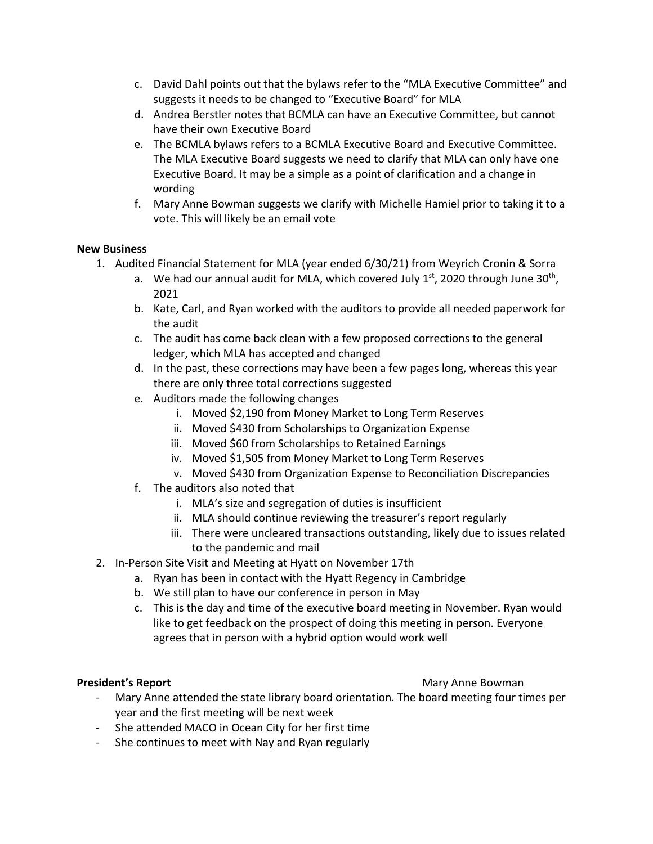- c. David Dahl points out that the bylaws refer to the "MLA Executive Committee" and suggests it needs to be changed to "Executive Board" for MLA
- d. Andrea Berstler notes that BCMLA can have an Executive Committee, but cannot have their own Executive Board
- e. The BCMLA bylaws refers to a BCMLA Executive Board and Executive Committee. The MLA Executive Board suggests we need to clarify that MLA can only have one Executive Board. It may be a simple as a point of clarification and a change in wording
- f. Mary Anne Bowman suggests we clarify with Michelle Hamiel prior to taking it to a vote. This will likely be an email vote

### **New Business**

- 1. Audited Financial Statement for MLA (year ended 6/30/21) from Weyrich Cronin & Sorra
	- a. We had our annual audit for MLA, which covered July  $1<sup>st</sup>$ , 2020 through June 30<sup>th</sup>, 2021
	- b. Kate, Carl, and Ryan worked with the auditors to provide all needed paperwork for the audit
	- c. The audit has come back clean with a few proposed corrections to the general ledger, which MLA has accepted and changed
	- d. In the past, these corrections may have been a few pages long, whereas this year there are only three total corrections suggested
	- e. Auditors made the following changes
		- i. Moved \$2,190 from Money Market to Long Term Reserves
		- ii. Moved \$430 from Scholarships to Organization Expense
		- iii. Moved \$60 from Scholarships to Retained Earnings
		- iv. Moved \$1,505 from Money Market to Long Term Reserves
		- v. Moved \$430 from Organization Expense to Reconciliation Discrepancies
	- f. The auditors also noted that
		- i. MLA's size and segregation of duties is insufficient
		- ii. MLA should continue reviewing the treasurer's report regularly
		- iii. There were uncleared transactions outstanding, likely due to issues related to the pandemic and mail
- 2. In-Person Site Visit and Meeting at Hyatt on November 17th
	- a. Ryan has been in contact with the Hyatt Regency in Cambridge
	- b. We still plan to have our conference in person in May
	- c. This is the day and time of the executive board meeting in November. Ryan would like to get feedback on the prospect of doing this meeting in person. Everyone agrees that in person with a hybrid option would work well

### **President's Report** Mary Anne Bowman

- Mary Anne attended the state library board orientation. The board meeting four times per year and the first meeting will be next week
- She attended MACO in Ocean City for her first time
- She continues to meet with Nay and Ryan regularly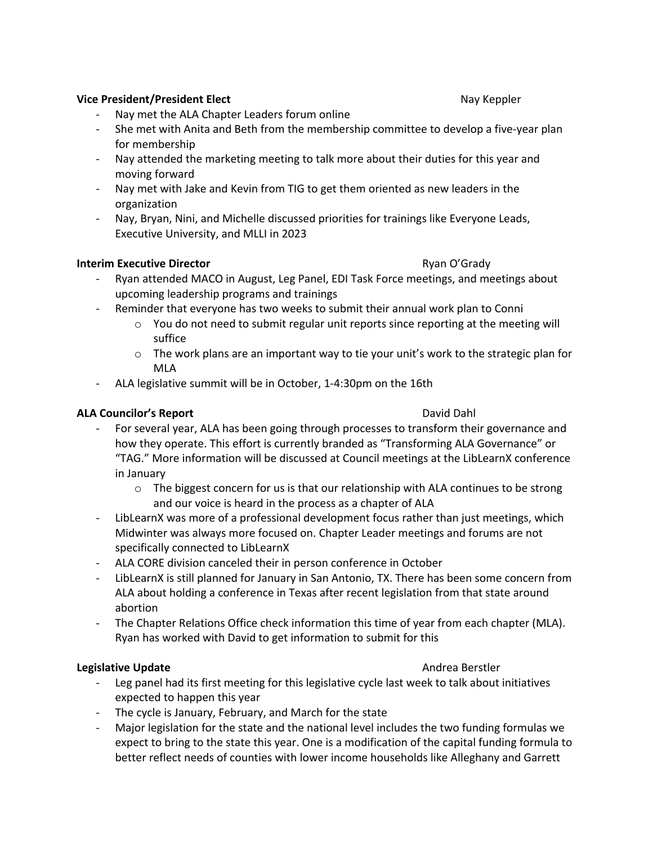#### **Vice President/President Elect Nay Keppler** Nay Keppler

- Nay met the ALA Chapter Leaders forum online
- She met with Anita and Beth from the membership committee to develop a five-year plan for membership
- Nay attended the marketing meeting to talk more about their duties for this year and moving forward
- Nay met with Jake and Kevin from TIG to get them oriented as new leaders in the organization
- Nay, Bryan, Nini, and Michelle discussed priorities for trainings like Everyone Leads, Executive University, and MLLI in 2023

#### **Interim Executive Director Ryan O'Grady** Ryan O'Grady

- Ryan attended MACO in August, Leg Panel, EDI Task Force meetings, and meetings about upcoming leadership programs and trainings
- Reminder that everyone has two weeks to submit their annual work plan to Conni
	- $\circ$  You do not need to submit regular unit reports since reporting at the meeting will suffice
	- $\circ$  The work plans are an important way to tie your unit's work to the strategic plan for MLA
- ALA legislative summit will be in October, 1-4:30pm on the 16th

### **ALA Councilor's Report** David Dahl

- For several year, ALA has been going through processes to transform their governance and how they operate. This effort is currently branded as "Transforming ALA Governance" or "TAG." More information will be discussed at Council meetings at the LibLearnX conference in January
	- $\circ$  The biggest concern for us is that our relationship with ALA continues to be strong and our voice is heard in the process as a chapter of ALA
- LibLearnX was more of a professional development focus rather than just meetings, which Midwinter was always more focused on. Chapter Leader meetings and forums are not specifically connected to LibLearnX
- ALA CORE division canceled their in person conference in October
- LibLearnX is still planned for January in San Antonio, TX. There has been some concern from ALA about holding a conference in Texas after recent legislation from that state around abortion
- The Chapter Relations Office check information this time of year from each chapter (MLA). Ryan has worked with David to get information to submit for this

#### **Legislative Update Andrea Berstler** Andrea Berstler

- 
- Leg panel had its first meeting for this legislative cycle last week to talk about initiatives expected to happen this year
- The cycle is January, February, and March for the state
- Major legislation for the state and the national level includes the two funding formulas we expect to bring to the state this year. One is a modification of the capital funding formula to better reflect needs of counties with lower income households like Alleghany and Garrett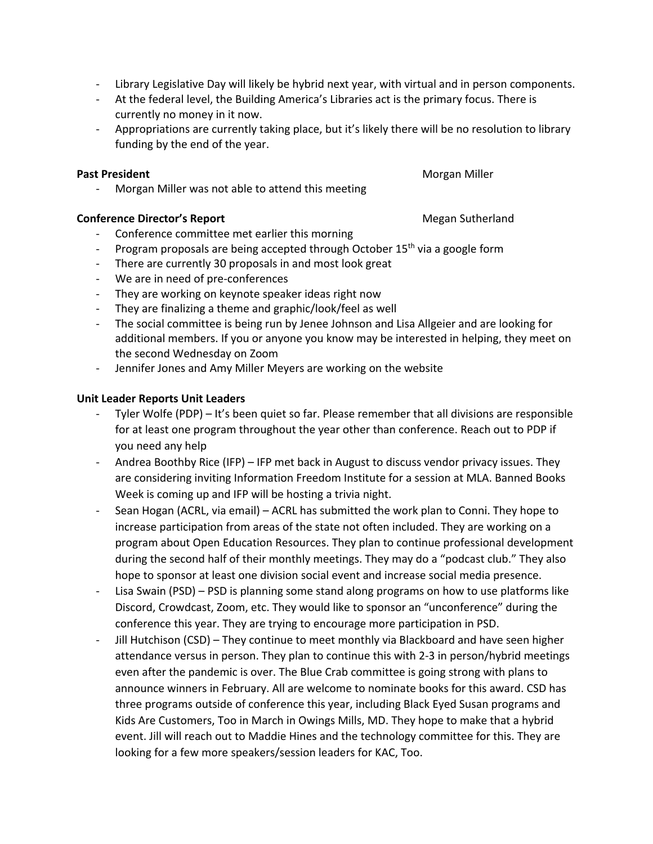- Library Legislative Day will likely be hybrid next year, with virtual and in person components.
- At the federal level, the Building America's Libraries act is the primary focus. There is currently no money in it now.
- Appropriations are currently taking place, but it's likely there will be no resolution to library funding by the end of the year.

# **Past President**  Morgan Miller

Morgan Miller was not able to attend this meeting

# **Conference Director's Report Megan Sutherland Megan Sutherland**

- Conference committee met earlier this morning
- Program proposals are being accepted through October 15<sup>th</sup> via a google form
- There are currently 30 proposals in and most look great
- We are in need of pre-conferences
- They are working on keynote speaker ideas right now
- They are finalizing a theme and graphic/look/feel as well
- The social committee is being run by Jenee Johnson and Lisa Allgeier and are looking for additional members. If you or anyone you know may be interested in helping, they meet on the second Wednesday on Zoom
- Jennifer Jones and Amy Miller Meyers are working on the website

# **Unit Leader Reports Unit Leaders**

- Tyler Wolfe (PDP) It's been quiet so far. Please remember that all divisions are responsible for at least one program throughout the year other than conference. Reach out to PDP if you need any help
- Andrea Boothby Rice (IFP) IFP met back in August to discuss vendor privacy issues. They are considering inviting Information Freedom Institute for a session at MLA. Banned Books Week is coming up and IFP will be hosting a trivia night.
- Sean Hogan (ACRL, via email) ACRL has submitted the work plan to Conni. They hope to increase participation from areas of the state not often included. They are working on a program about Open Education Resources. They plan to continue professional development during the second half of their monthly meetings. They may do a "podcast club." They also hope to sponsor at least one division social event and increase social media presence.
- Lisa Swain (PSD) PSD is planning some stand along programs on how to use platforms like Discord, Crowdcast, Zoom, etc. They would like to sponsor an "unconference" during the conference this year. They are trying to encourage more participation in PSD.
- Jill Hutchison (CSD) They continue to meet monthly via Blackboard and have seen higher attendance versus in person. They plan to continue this with 2-3 in person/hybrid meetings even after the pandemic is over. The Blue Crab committee is going strong with plans to announce winners in February. All are welcome to nominate books for this award. CSD has three programs outside of conference this year, including Black Eyed Susan programs and Kids Are Customers, Too in March in Owings Mills, MD. They hope to make that a hybrid event. Jill will reach out to Maddie Hines and the technology committee for this. They are looking for a few more speakers/session leaders for KAC, Too.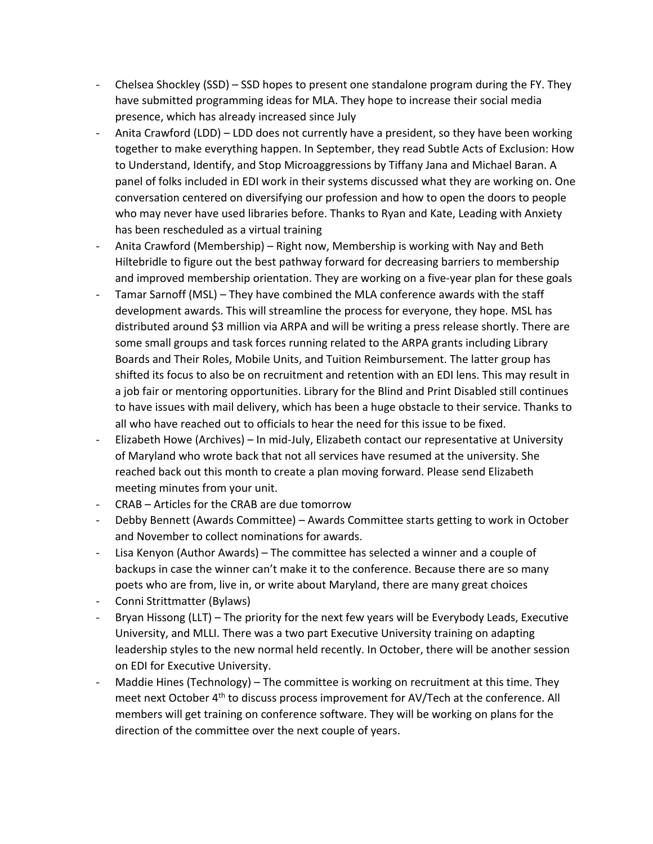- Chelsea Shockley (SSD) SSD hopes to present one standalone program during the FY. They have submitted programming ideas for MLA. They hope to increase their social media presence, which has already increased since July
- Anita Crawford (LDD) LDD does not currently have a president, so they have been working together to make everything happen. In September, they read Subtle Acts of Exclusion: How to Understand, Identify, and Stop Microaggressions by Tiffany Jana and Michael Baran. A panel of folks included in EDI work in their systems discussed what they are working on. One conversation centered on diversifying our profession and how to open the doors to people who may never have used libraries before. Thanks to Ryan and Kate, Leading with Anxiety has been rescheduled as a virtual training
- Anita Crawford (Membership) Right now, Membership is working with Nay and Beth Hiltebridle to figure out the best pathway forward for decreasing barriers to membership and improved membership orientation. They are working on a five-year plan for these goals
- Tamar Sarnoff (MSL) They have combined the MLA conference awards with the staff development awards. This will streamline the process for everyone, they hope. MSL has distributed around \$3 million via ARPA and will be writing a press release shortly. There are some small groups and task forces running related to the ARPA grants including Library Boards and Their Roles, Mobile Units, and Tuition Reimbursement. The latter group has shifted its focus to also be on recruitment and retention with an EDI lens. This may result in a job fair or mentoring opportunities. Library for the Blind and Print Disabled still continues to have issues with mail delivery, which has been a huge obstacle to their service. Thanks to all who have reached out to officials to hear the need for this issue to be fixed.
- Elizabeth Howe (Archives) In mid-July, Elizabeth contact our representative at University of Maryland who wrote back that not all services have resumed at the university. She reached back out this month to create a plan moving forward. Please send Elizabeth meeting minutes from your unit.
- CRAB Articles for the CRAB are due tomorrow
- Debby Bennett (Awards Committee) Awards Committee starts getting to work in October and November to collect nominations for awards.
- Lisa Kenyon (Author Awards) The committee has selected a winner and a couple of backups in case the winner can't make it to the conference. Because there are so many poets who are from, live in, or write about Maryland, there are many great choices
- Conni Strittmatter (Bylaws)
- Bryan Hissong (LLT) The priority for the next few years will be Everybody Leads, Executive University, and MLLI. There was a two part Executive University training on adapting leadership styles to the new normal held recently. In October, there will be another session on EDI for Executive University.
- Maddie Hines (Technology) The committee is working on recruitment at this time. They meet next October 4<sup>th</sup> to discuss process improvement for AV/Tech at the conference. All members will get training on conference software. They will be working on plans for the direction of the committee over the next couple of years.